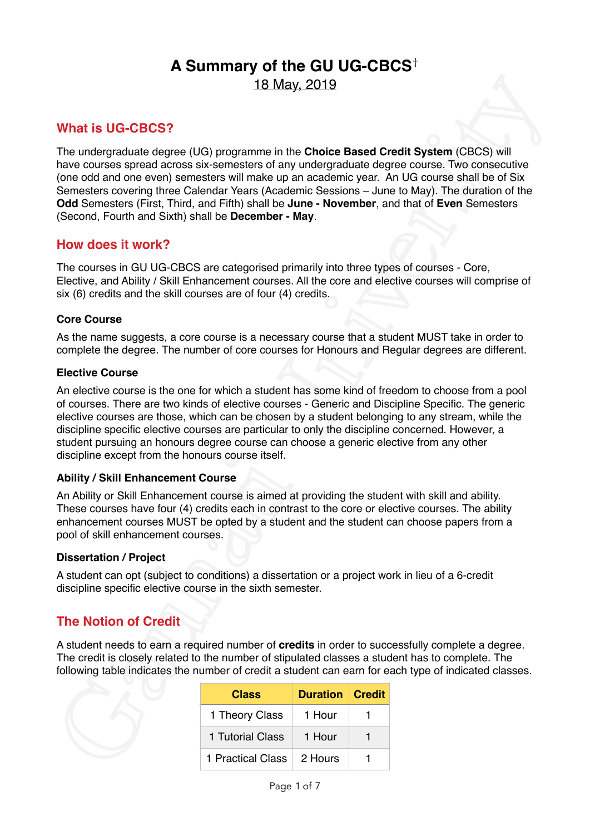# **A Summary of the GU UG-CBCS**† 18 May, 2019

### **What is UG-CBCS?**

The undergraduate degree (UG) programme in the **Choice Based Credit System** (CBCS) will have courses spread across six-semesters of any undergraduate degree course. Two consecutive (one odd and one even) semesters will make up an academic year. An UG course shall be of Six Semesters covering three Calendar Years (Academic Sessions – June to May). The duration of the **Odd** Semesters (First, Third, and Fifth) shall be **June - November**, and that of **Even** Semesters (Second, Fourth and Sixth) shall be **December - May**. 18. May, 2019<br>
What is UG-CBCS?<br>
The undergrediate degree (UG) programme in the Choice Based Credit System (CBCS) will<br>
The undergrediate degree (UG) programme in the Choice Based Credit System (CBCS) will<br>
take courses s

### **How does it work?**

The courses in GU UG-CBCS are categorised primarily into three types of courses - Core, Elective, and Ability / Skill Enhancement courses. All the core and elective courses will comprise of six (6) credits and the skill courses are of four (4) credits.

### **Core Course**

As the name suggests, a core course is a necessary course that a student MUST take in order to complete the degree. The number of core courses for Honours and Regular degrees are different.

### **Elective Course**

An elective course is the one for which a student has some kind of freedom to choose from a pool of courses. There are two kinds of elective courses - Generic and Discipline Specific. The generic elective courses are those, which can be chosen by a student belonging to any stream, while the discipline specific elective courses are particular to only the discipline concerned. However, a student pursuing an honours degree course can choose a generic elective from any other discipline except from the honours course itself.

### **Ability / Skill Enhancement Course**

An Ability or Skill Enhancement course is aimed at providing the student with skill and ability. These courses have four (4) credits each in contrast to the core or elective courses. The ability enhancement courses MUST be opted by a student and the student can choose papers from a pool of skill enhancement courses.

#### **Dissertation / Project**

A student can opt (subject to conditions) a dissertation or a project work in lieu of a 6-credit discipline specific elective course in the sixth semester.

## **The Notion of Credit**

A student needs to earn a required number of **credits** in order to successfully complete a degree. The credit is closely related to the number of stipulated classes a student has to complete. The following table indicates the number of credit a student can earn for each type of indicated classes.

| <b>Class</b>              | <b>Duration Credit</b> |  |
|---------------------------|------------------------|--|
| 1 Theory Class            | 1 Hour                 |  |
| 1 Tutorial Class          | 1 Hour                 |  |
| 1 Practical Class 2 Hours |                        |  |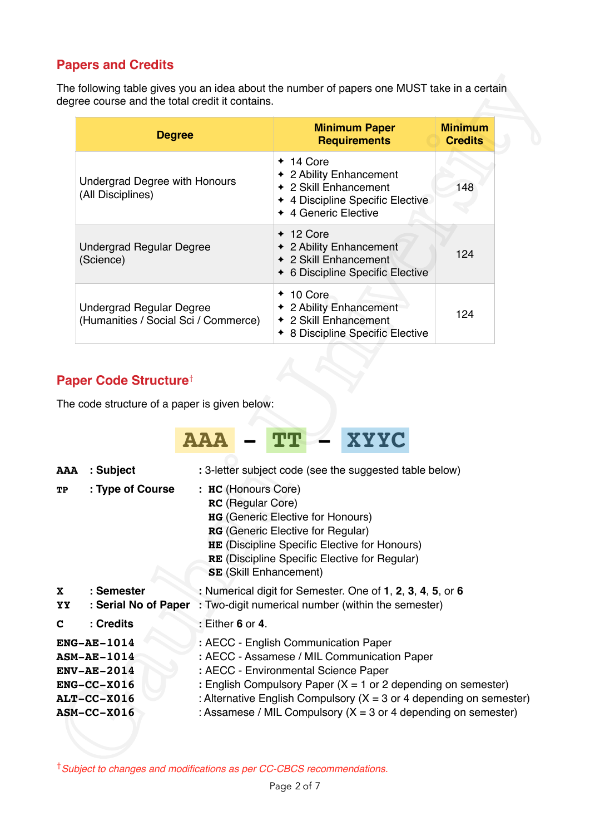## **Papers and Credits**

| <b>Degree</b>                                                    | <b>Minimum Paper</b><br><b>Requirements</b>                                                                                 | <b>Minimum</b><br><b>Credits</b> |
|------------------------------------------------------------------|-----------------------------------------------------------------------------------------------------------------------------|----------------------------------|
| <b>Undergrad Degree with Honours</b><br>(All Disciplines)        | $+ 14$ Core<br>← 2 Ability Enhancement<br>← 2 Skill Enhancement<br>← 4 Discipline Specific Elective<br>← 4 Generic Elective | 148                              |
| <b>Undergrad Regular Degree</b><br>(Science)                     | $+12$ Core<br>← 2 Ability Enhancement<br>← 2 Skill Enhancement<br>6 Discipline Specific Elective                            | 124                              |
| Undergrad Regular Degree<br>(Humanities / Social Sci / Commerce) | $+10$ Core<br>← 2 Ability Enhancement<br>◆ 2 Skill Enhancement<br>8 Discipline Specific Elective                            | 124                              |

# **Paper Code Structure**†

| <b>Degree</b>                                                                      |                                          | <b>Minimum Paper</b><br><b>Requirements</b>                                                                                                                                                                                                              | <b>Minimum</b><br><b>Credits</b> |
|------------------------------------------------------------------------------------|------------------------------------------|----------------------------------------------------------------------------------------------------------------------------------------------------------------------------------------------------------------------------------------------------------|----------------------------------|
| <b>Undergrad Degree with Honours</b><br>(All Disciplines)                          |                                          | $+ 14$ Core<br>← 2 Ability Enhancement<br>◆ 2 Skill Enhancement<br>◆ 4 Discipline Specific Elective<br>◆ 4 Generic Elective                                                                                                                              | 148                              |
| <b>Undergrad Regular Degree</b><br>(Science)                                       |                                          | $+ 12$ Core<br>← 2 Ability Enhancement<br>◆ 2 Skill Enhancement<br>◆ 6 Discipline Specific Elective                                                                                                                                                      | 124                              |
| <b>Undergrad Regular Degree</b><br>(Humanities / Social Sci / Commerce)            |                                          | $+10$ Core<br>← 2 Ability Enhancement<br>◆ 2 Skill Enhancement<br>◆ 8 Discipline Specific Elective                                                                                                                                                       | 124                              |
| Paper Code Structure <sup>†</sup><br>The code structure of a paper is given below: | <b>AAA</b>                               | XYYC<br>տար                                                                                                                                                                                                                                              |                                  |
| : Subject<br><b>AAA</b><br>: Type of Course<br>TР                                  | : HC (Honours Core)<br>RC (Regular Core) | : 3-letter subject code (see the suggested table below)<br><b>HG</b> (Generic Elective for Honours)<br><b>RG</b> (Generic Elective for Regular)<br><b>HE</b> (Discipline Specific Elective for Honours)<br>RE (Discipline Specific Elective for Regular) |                                  |
| : Semester<br>YY.                                                                  | <b>SE</b> (Skill Enhancement)            | : Numerical digit for Semester. One of 1, 2, 3, 4, 5, or 6                                                                                                                                                                                               |                                  |
| : Serial No of Paper<br>: Credits                                                  | $:$ Either 6 or 4.                       | : Two-digit numerical number (within the semester)                                                                                                                                                                                                       |                                  |

†*Subject to changes and modifications as per CC-CBCS recommendations.*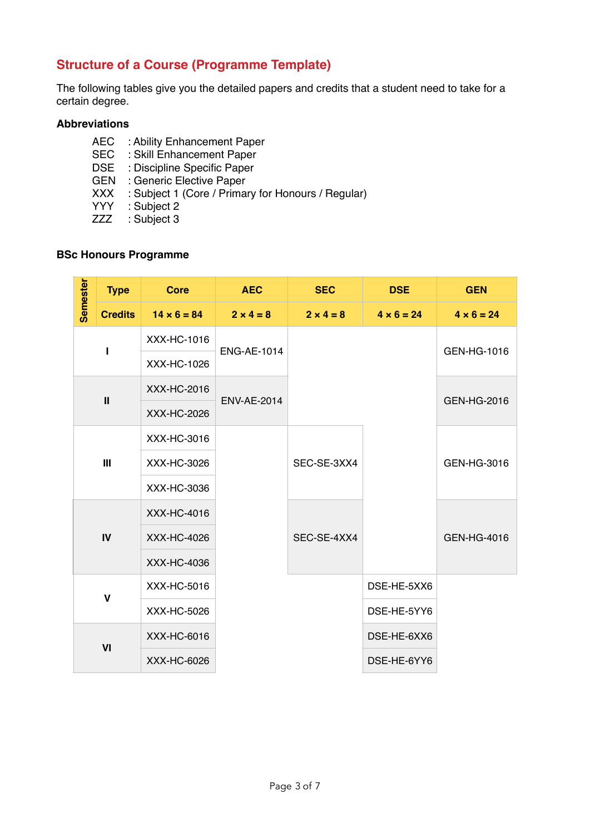## **Structure of a Course (Programme Template)**

The following tables give you the detailed papers and credits that a student need to take for a certain degree.

### **Abbreviations**

- AEC : Ability Enhancement Paper
- SEC : Skill Enhancement Paper
- DSE : Discipline Specific Paper
- GEN : Generic Elective Paper
- XXX : Subject 1 (Core / Primary for Honours / Regular)
- YYY : Subject 2
- ZZZ : Subject 3

### **BSc Honours Programme**

| <b>Semester</b> | <b>Type</b>    | <b>Core</b>                       | <b>AEC</b>         | <b>SEC</b>       | <b>DSE</b>        | <b>GEN</b>        |
|-----------------|----------------|-----------------------------------|--------------------|------------------|-------------------|-------------------|
|                 | <b>Credits</b> | $14 \times 6 = 84$                | $2 \times 4 = 8$   | $2 \times 4 = 8$ | $4 \times 6 = 24$ | $4 \times 6 = 24$ |
|                 |                | XXX-HC-1016<br><b>ENG-AE-1014</b> |                    |                  |                   | GEN-HG-1016       |
|                 |                | XXX-HC-1026                       |                    |                  |                   |                   |
|                 | $\mathbf{I}$   | XXX-HC-2016                       | <b>ENV-AE-2014</b> |                  |                   | GEN-HG-2016       |
|                 |                | XXX-HC-2026                       |                    |                  |                   |                   |
|                 |                | XXX-HC-3016                       |                    |                  |                   |                   |
|                 | III            | XXX-HC-3026                       |                    | SEC-SE-3XX4      |                   | GEN-HG-3016       |
|                 |                | XXX-HC-3036                       |                    |                  |                   |                   |
|                 |                | XXX-HC-4016                       |                    |                  |                   |                   |
|                 | $\mathbf{I}$   | XXX-HC-4026                       |                    | SEC-SE-4XX4      |                   | GEN-HG-4016       |
|                 |                | XXX-HC-4036                       |                    |                  |                   |                   |
|                 | $\mathbf v$    | XXX-HC-5016                       |                    |                  | DSE-HE-5XX6       |                   |
|                 |                | XXX-HC-5026                       |                    |                  | DSE-HE-5YY6       |                   |
|                 | VI             | XXX-HC-6016                       |                    |                  | DSE-HE-6XX6       |                   |
|                 |                | XXX-HC-6026                       |                    |                  | DSE-HE-6YY6       |                   |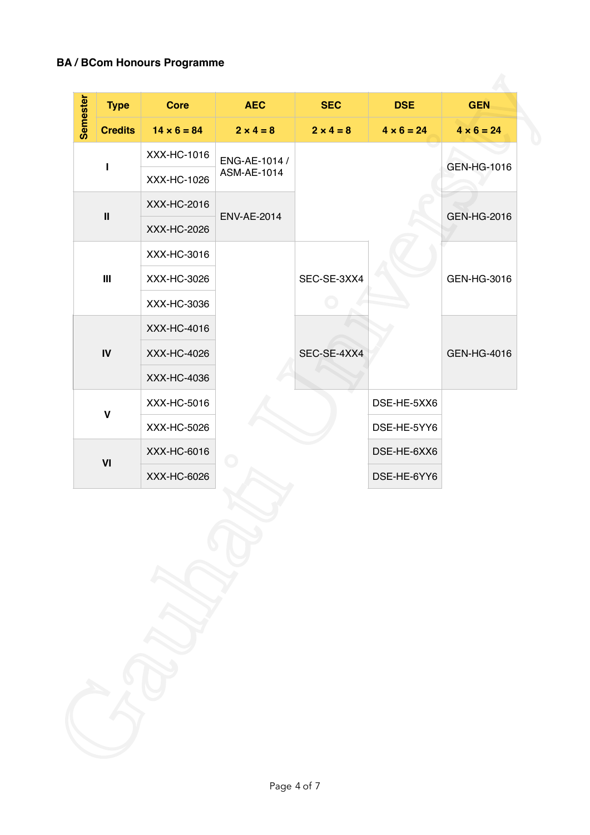## **BA / BCom Honours Programme**

| <b>Semester</b><br><b>Core</b><br><b>AEC</b><br><b>SEC</b><br><b>Type</b><br><b>Credits</b><br>$14 \times 6 = 84$<br>$2 \times 4 = 8$<br>$2 \times 4 = 8$<br>$4 \times 6 = 24$<br>$4 \times 6 = 24$<br>XXX-HC-1016<br>ENG-AE-1014 /<br>GEN-HG-1016<br>L<br>ASM-AE-1014<br>XXX-HC-1026<br>XXX-HC-2016<br>$\ensuremath{\mathsf{II}}$<br>GEN-HG-2016<br><b>ENV-AE-2014</b><br>XXX-HC-2026<br>XXX-HC-3016<br>$\mathsf{III}\,$<br>SEC-SE-3XX4<br>XXX-HC-3026<br>GEN-HG-3016<br>XXX-HC-3036<br>XXX-HC-4016<br>SEC-SE-4XX4<br>$\mathsf{IV}$<br>XXX-HC-4026<br>GEN-HG-4016<br>XXX-HC-4036 |
|-----------------------------------------------------------------------------------------------------------------------------------------------------------------------------------------------------------------------------------------------------------------------------------------------------------------------------------------------------------------------------------------------------------------------------------------------------------------------------------------------------------------------------------------------------------------------------------|
|                                                                                                                                                                                                                                                                                                                                                                                                                                                                                                                                                                                   |
|                                                                                                                                                                                                                                                                                                                                                                                                                                                                                                                                                                                   |
|                                                                                                                                                                                                                                                                                                                                                                                                                                                                                                                                                                                   |
|                                                                                                                                                                                                                                                                                                                                                                                                                                                                                                                                                                                   |
|                                                                                                                                                                                                                                                                                                                                                                                                                                                                                                                                                                                   |
|                                                                                                                                                                                                                                                                                                                                                                                                                                                                                                                                                                                   |
|                                                                                                                                                                                                                                                                                                                                                                                                                                                                                                                                                                                   |
|                                                                                                                                                                                                                                                                                                                                                                                                                                                                                                                                                                                   |
|                                                                                                                                                                                                                                                                                                                                                                                                                                                                                                                                                                                   |
|                                                                                                                                                                                                                                                                                                                                                                                                                                                                                                                                                                                   |
|                                                                                                                                                                                                                                                                                                                                                                                                                                                                                                                                                                                   |
| XXX-HC-5016<br>DSE-HE-5XX6<br>$\pmb{\mathsf{V}}$                                                                                                                                                                                                                                                                                                                                                                                                                                                                                                                                  |
| XXX-HC-5026<br>DSE-HE-5YY6                                                                                                                                                                                                                                                                                                                                                                                                                                                                                                                                                        |
| XXX-HC-6016<br>DSE-HE-6XX6<br>VI                                                                                                                                                                                                                                                                                                                                                                                                                                                                                                                                                  |
| XXX-HC-6026<br>DSE-HE-6YY6                                                                                                                                                                                                                                                                                                                                                                                                                                                                                                                                                        |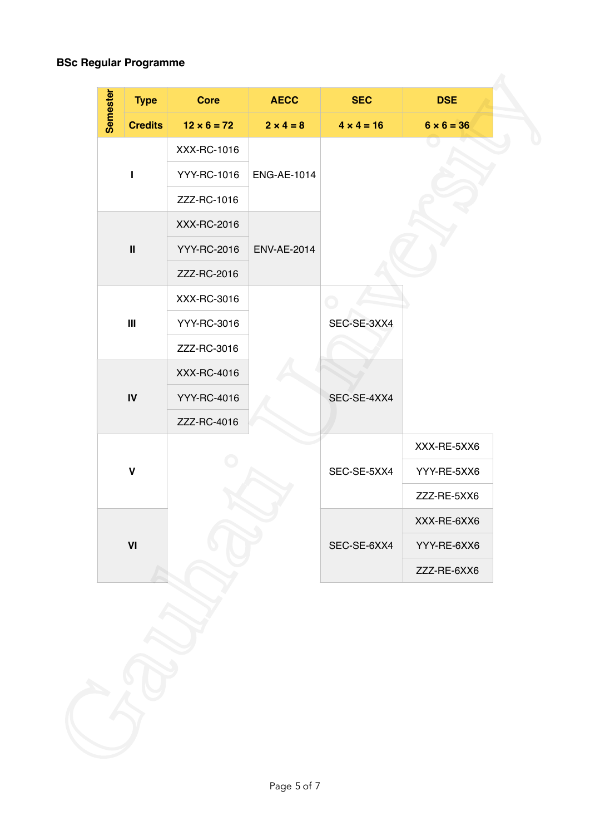### **BSc Regular Programme**

| <b>Semester</b><br><b>Type</b>     | Core               | <b>AECC</b>        | <b>SEC</b>        | <b>DSE</b>        |
|------------------------------------|--------------------|--------------------|-------------------|-------------------|
| <b>Credits</b>                     | $12 \times 6 = 72$ | $2 \times 4 = 8$   | $4 \times 4 = 16$ | $6 \times 6 = 36$ |
|                                    | XXX-RC-1016        |                    |                   |                   |
| т                                  | YYY-RC-1016        | <b>ENG-AE-1014</b> |                   |                   |
|                                    | ZZZ-RC-1016        |                    |                   |                   |
|                                    | XXX-RC-2016        |                    |                   |                   |
| $\pmb{\text{II}}$                  | YYY-RC-2016        | <b>ENV-AE-2014</b> |                   |                   |
|                                    | ZZZ-RC-2016        |                    |                   |                   |
|                                    | XXX-RC-3016        |                    | $\bigcirc$        |                   |
| $\ensuremath{\mathsf{III}}\xspace$ | YYY-RC-3016        |                    | SEC-SE-3XX4       |                   |
|                                    | ZZZ-RC-3016        |                    |                   |                   |
|                                    | XXX-RC-4016        |                    |                   |                   |
| $\textsf{IV}$                      | YYY-RC-4016        |                    | SEC-SE-4XX4       |                   |
|                                    | ZZZ-RC-4016        |                    |                   |                   |
|                                    |                    |                    |                   | XXX-RE-5XX6       |
| $\mathbf V$                        |                    |                    | SEC-SE-5XX4       | YYY-RE-5XX6       |
|                                    |                    |                    |                   | ZZZ-RE-5XX6       |
|                                    |                    |                    |                   | XXX-RE-6XX6       |
| $\ensuremath{\mathsf{VI}}\xspace$  |                    |                    | SEC-SE-6XX4       | YYY-RE-6XX6       |
|                                    |                    |                    |                   | ZZZ-RE-6XX6       |
|                                    |                    |                    |                   |                   |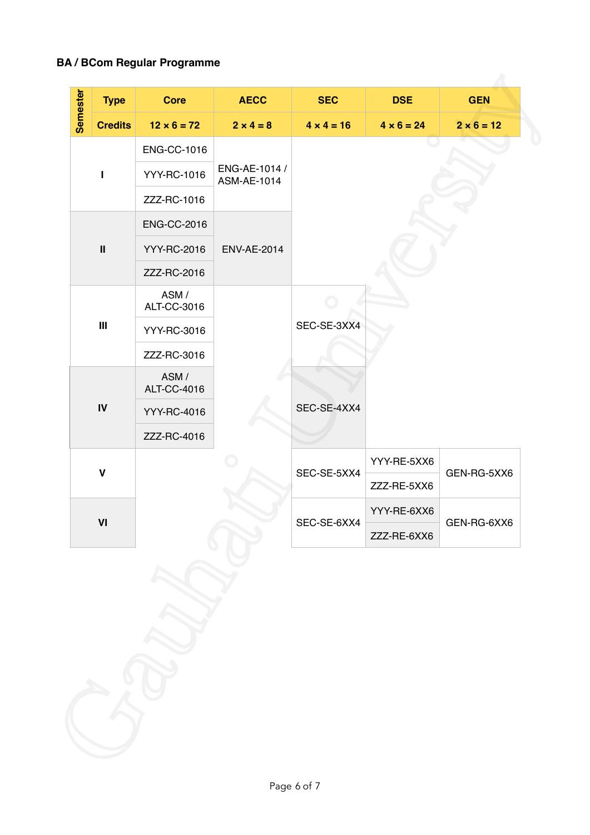## **BA / BCom Regular Programme**

| Semester<br><b>Credits</b><br>$\mathbf{I}$<br>$\ensuremath{\mathsf{II}}$ | $12 \times 6 = 72$<br><b>ENG-CC-1016</b><br>YYY-RC-1016<br>ZZZ-RC-1016<br><b>ENG-CC-2016</b> | $2 \times 4 = 8$<br>ENG-AE-1014 /<br>ASM-AE-1014 | $4 \times 4 = 16$ | $4 \times 6 = 24$          | $2 \times 6 = 12$ |
|--------------------------------------------------------------------------|----------------------------------------------------------------------------------------------|--------------------------------------------------|-------------------|----------------------------|-------------------|
|                                                                          |                                                                                              |                                                  |                   |                            |                   |
|                                                                          |                                                                                              |                                                  |                   |                            |                   |
|                                                                          |                                                                                              |                                                  |                   |                            |                   |
|                                                                          |                                                                                              |                                                  |                   |                            |                   |
|                                                                          |                                                                                              |                                                  |                   |                            |                   |
|                                                                          | YYY-RC-2016                                                                                  | <b>ENV-AE-2014</b>                               |                   |                            |                   |
|                                                                          | ZZZ-RC-2016                                                                                  |                                                  |                   |                            |                   |
|                                                                          | ASM/<br>ALT-CC-3016                                                                          |                                                  |                   |                            |                   |
| $\ensuremath{\mathsf{III}}\xspace$                                       | YYY-RC-3016                                                                                  |                                                  | SEC-SE-3XX4       |                            |                   |
|                                                                          | ZZZ-RC-3016                                                                                  |                                                  |                   |                            |                   |
|                                                                          | ASM/<br>ALT-CC-4016                                                                          |                                                  |                   |                            |                   |
| $\mathsf{IV}$                                                            | YYY-RC-4016                                                                                  |                                                  | SEC-SE-4XX4       |                            |                   |
|                                                                          | ZZZ-RC-4016                                                                                  |                                                  |                   |                            |                   |
| $\mathbf v$                                                              |                                                                                              |                                                  | SEC-SE-5XX4       | YYY-RE-5XX6<br>GEN-RG-5XX6 |                   |
|                                                                          |                                                                                              |                                                  |                   | ZZZ-RE-5XX6                |                   |
| VI                                                                       |                                                                                              |                                                  | SEC-SE-6XX4       | YYY-RE-6XX6                | GEN-RG-6XX6       |
|                                                                          |                                                                                              |                                                  |                   | ZZZ-RE-6XX6                |                   |